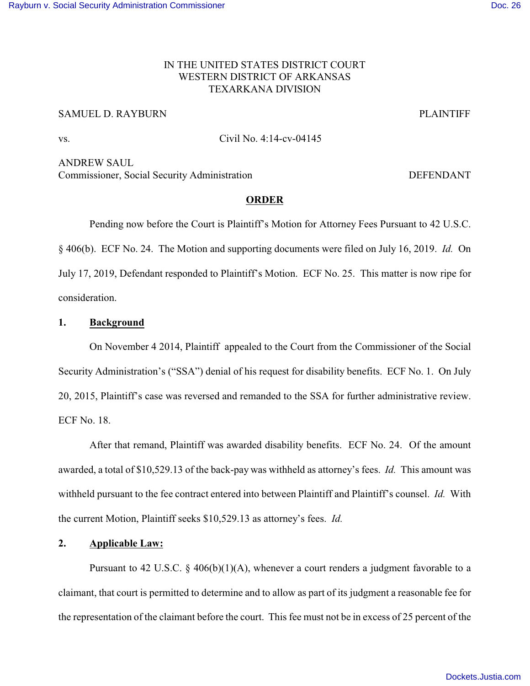## IN THE UNITED STATES DISTRICT COURT WESTERN DISTRICT OF ARKANSAS TEXARKANA DIVISION

# SAMUEL D. RAYBURN PLAINTIFF

vs. Civil No. 4:14-cv-04145

ANDREW SAUL Commissioner, Social Security Administration DEFENDANT

## **ORDER**

Pending now before the Court is Plaintiff's Motion for Attorney Fees Pursuant to 42 U.S.C. § 406(b). ECF No. 24. The Motion and supporting documents were filed on July 16, 2019. *Id.* On July 17, 2019, Defendant responded to Plaintiff's Motion. ECF No. 25. This matter is now ripe for consideration.

### **1. Background**

On November 4 2014, Plaintiff appealed to the Court from the Commissioner of the Social Security Administration's ("SSA") denial of his request for disability benefits. ECF No. 1. On July 20, 2015, Plaintiff's case was reversed and remanded to the SSA for further administrative review. ECF No. 18.

After that remand, Plaintiff was awarded disability benefits. ECF No. 24. Of the amount awarded, a total of \$10,529.13 of the back-pay was withheld as attorney's fees. *Id.* This amount was withheld pursuant to the fee contract entered into between Plaintiff and Plaintiff's counsel. *Id.* With the current Motion, Plaintiff seeks \$10,529.13 as attorney's fees. *Id.* 

### **2. Applicable Law:**

Pursuant to 42 U.S.C.  $\S$  406(b)(1)(A), whenever a court renders a judgment favorable to a claimant, that court is permitted to determine and to allow as part of its judgment a reasonable fee for the representation of the claimant before the court. This fee must not be in excess of 25 percent of the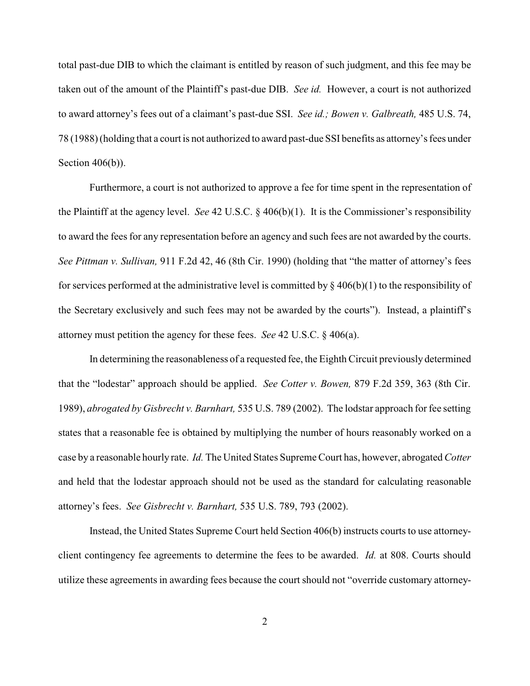total past-due DIB to which the claimant is entitled by reason of such judgment, and this fee may be taken out of the amount of the Plaintiff's past-due DIB. *See id.* However, a court is not authorized to award attorney's fees out of a claimant's past-due SSI. *See id.; Bowen v. Galbreath,* 485 U.S. 74, 78 (1988) (holding that a court is not authorized to award past-due SSI benefits as attorney's fees under Section 406(b)).

Furthermore, a court is not authorized to approve a fee for time spent in the representation of the Plaintiff at the agency level. *See* 42 U.S.C. § 406(b)(1). It is the Commissioner's responsibility to award the fees for any representation before an agency and such fees are not awarded by the courts. *See Pittman v. Sullivan,* 911 F.2d 42, 46 (8th Cir. 1990) (holding that "the matter of attorney's fees for services performed at the administrative level is committed by  $\S 406(b)(1)$  to the responsibility of the Secretary exclusively and such fees may not be awarded by the courts"). Instead, a plaintiff's attorney must petition the agency for these fees. *See* 42 U.S.C. § 406(a).

In determining the reasonableness of a requested fee, the Eighth Circuit previously determined that the "lodestar" approach should be applied. *See Cotter v. Bowen,* 879 F.2d 359, 363 (8th Cir. 1989), *abrogated by Gisbrecht v. Barnhart,* 535 U.S. 789 (2002). The lodstar approach for fee setting states that a reasonable fee is obtained by multiplying the number of hours reasonably worked on a case by a reasonable hourly rate. *Id.* The United States Supreme Court has, however, abrogated *Cotter* and held that the lodestar approach should not be used as the standard for calculating reasonable attorney's fees. *See Gisbrecht v. Barnhart,* 535 U.S. 789, 793 (2002).

Instead, the United States Supreme Court held Section 406(b) instructs courts to use attorneyclient contingency fee agreements to determine the fees to be awarded. *Id.* at 808. Courts should utilize these agreements in awarding fees because the court should not "override customary attorney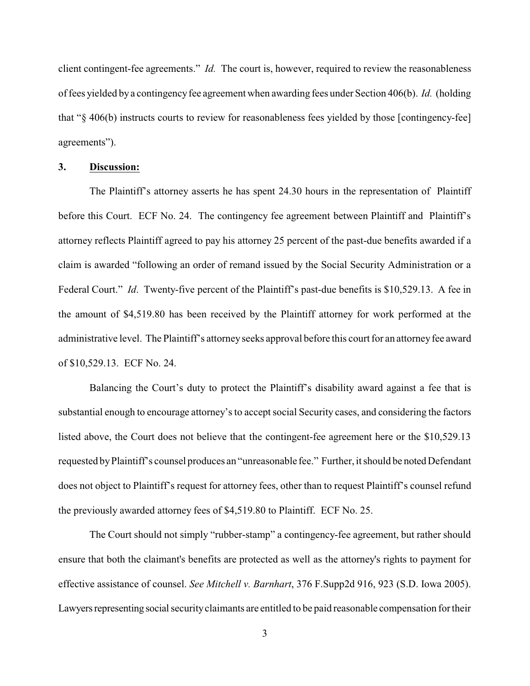client contingent-fee agreements." *Id.* The court is, however, required to review the reasonableness of fees yielded by a contingencyfee agreement when awarding fees under Section 406(b). *Id.* (holding that "§ 406(b) instructs courts to review for reasonableness fees yielded by those [contingency-fee] agreements").

#### **3. Discussion:**

The Plaintiff's attorney asserts he has spent 24.30 hours in the representation of Plaintiff before this Court. ECF No. 24. The contingency fee agreement between Plaintiff and Plaintiff's attorney reflects Plaintiff agreed to pay his attorney 25 percent of the past-due benefits awarded if a claim is awarded "following an order of remand issued by the Social Security Administration or a Federal Court." *Id*. Twenty-five percent of the Plaintiff's past-due benefits is \$10,529.13. A fee in the amount of \$4,519.80 has been received by the Plaintiff attorney for work performed at the administrative level. The Plaintiff's attorneyseeks approval before this court for an attorneyfee award of \$10,529.13. ECF No. 24.

Balancing the Court's duty to protect the Plaintiff's disability award against a fee that is substantial enough to encourage attorney's to accept social Security cases, and considering the factors listed above, the Court does not believe that the contingent-fee agreement here or the \$10,529.13 requested by Plaintiff's counsel produces an "unreasonable fee." Further, it should be noted Defendant does not object to Plaintiff's request for attorney fees, other than to request Plaintiff's counsel refund the previously awarded attorney fees of \$4,519.80 to Plaintiff. ECF No. 25.

The Court should not simply "rubber-stamp" a contingency-fee agreement, but rather should ensure that both the claimant's benefits are protected as well as the attorney's rights to payment for effective assistance of counsel. *See Mitchell v. Barnhart*, 376 F.Supp2d 916, 923 (S.D. Iowa 2005). Lawyers representing social security claimants are entitled to be paid reasonable compensation for their